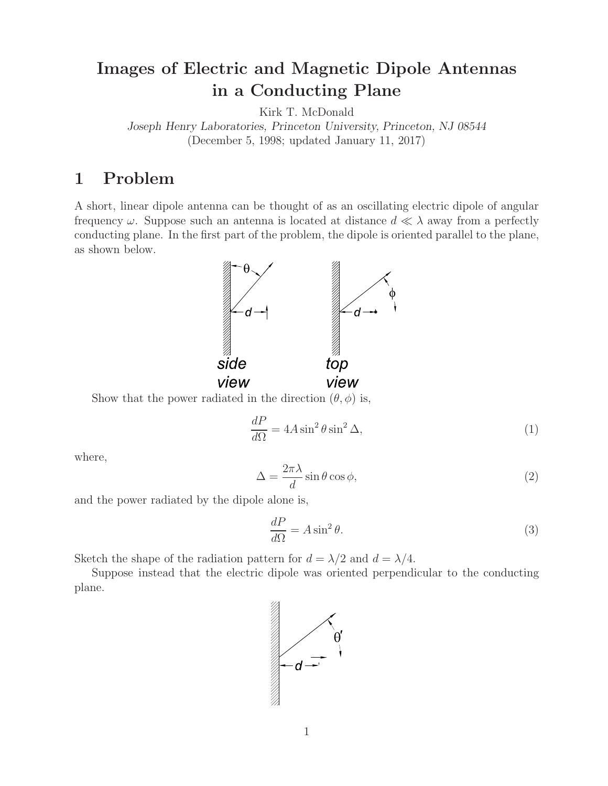# **Images of Electric and Magnetic Dipole Antennas in a Conducting Plane**

Kirk T. McDonald *Joseph Henry Laboratories, Princeton University, Princeton, NJ 08544* (December 5, 1998; updated January 11, 2017)

# **1 Problem**

A short, linear dipole antenna can be thought of as an oscillating electric dipole of angular frequency  $\omega$ . Suppose such an antenna is located at distance  $d \ll \lambda$  away from a perfectly conducting plane. In the first part of the problem, the dipole is oriented parallel to the plane, as shown below.



Show that the power radiated in the direction  $(\theta, \phi)$  is,

$$
\frac{dP}{d\Omega} = 4A\sin^2\theta\sin^2\Delta,\tag{1}
$$

where,

$$
\Delta = \frac{2\pi\lambda}{d}\sin\theta\cos\phi,\tag{2}
$$

and the power radiated by the dipole alone is,

$$
\frac{dP}{d\Omega} = A\sin^2\theta. \tag{3}
$$

Sketch the shape of the radiation pattern for  $d = \lambda/2$  and  $d = \lambda/4$ .

Suppose instead that the electric dipole was oriented perpendicular to the conducting plane.

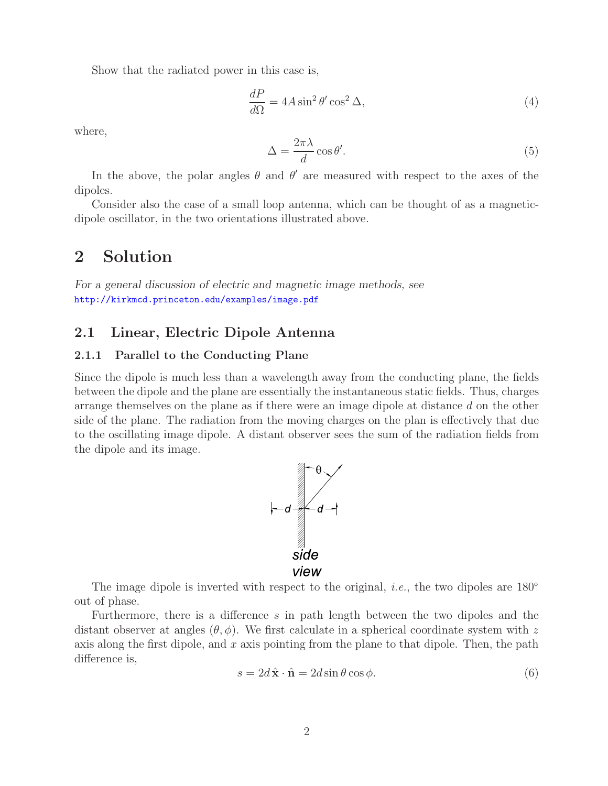Show that the radiated power in this case is,

$$
\frac{dP}{d\Omega} = 4A\sin^2\theta'\cos^2\Delta,\tag{4}
$$

where,

$$
\Delta = \frac{2\pi\lambda}{d}\cos\theta'.\tag{5}
$$

In the above, the polar angles  $\theta$  and  $\theta'$  are measured with respect to the axes of the dipoles.

Consider also the case of a small loop antenna, which can be thought of as a magneticdipole oscillator, in the two orientations illustrated above.

# **2 Solution**

*For a general discussion of electric and magnetic image methods, see* http://kirkmcd.princeton.edu/examples/image.pdf

### **2.1 Linear, Electric Dipole Antenna**

#### **2.1.1 Parallel to the Conducting Plane**

Since the dipole is much less than a wavelength away from the conducting plane, the fields between the dipole and the plane are essentially the instantaneous static fields. Thus, charges arrange themselves on the plane as if there were an image dipole at distance d on the other side of the plane. The radiation from the moving charges on the plan is effectively that due to the oscillating image dipole. A distant observer sees the sum of the radiation fields from the dipole and its image.



The image dipole is inverted with respect to the original, *i.e.*, the two dipoles are 180<sup>°</sup> out of phase.

Furthermore, there is a difference s in path length between the two dipoles and the distant observer at angles  $(\theta, \phi)$ . We first calculate in a spherical coordinate system with z axis along the first dipole, and  $x$  axis pointing from the plane to that dipole. Then, the path difference is,

$$
s = 2d\hat{\mathbf{x}} \cdot \hat{\mathbf{n}} = 2d\sin\theta\cos\phi.
$$
 (6)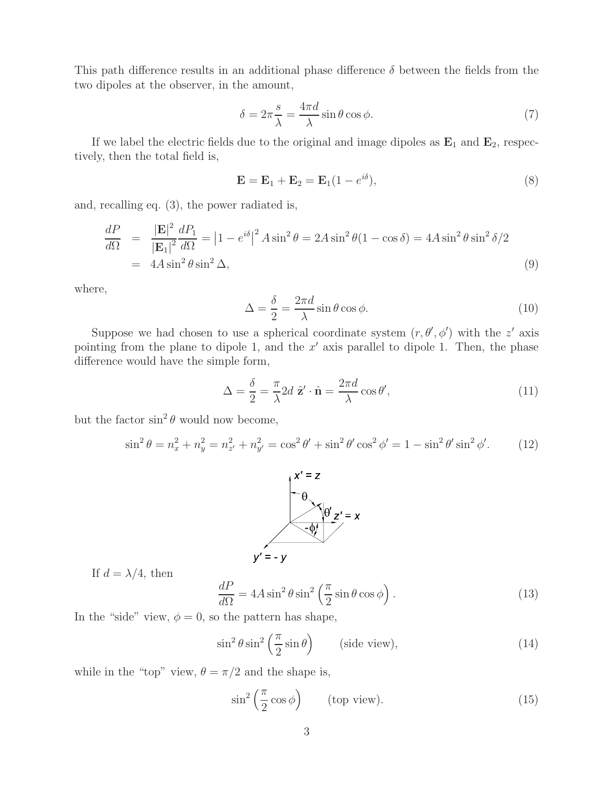This path difference results in an additional phase difference  $\delta$  between the fields from the two dipoles at the observer, in the amount,

$$
\delta = 2\pi \frac{s}{\lambda} = \frac{4\pi d}{\lambda} \sin \theta \cos \phi.
$$
 (7)

If we label the electric fields due to the original and image dipoles as  $\mathbf{E}_1$  and  $\mathbf{E}_2$ , respectively, then the total field is,

$$
\mathbf{E} = \mathbf{E}_1 + \mathbf{E}_2 = \mathbf{E}_1 (1 - e^{i\delta}), \tag{8}
$$

and, recalling eq. (3), the power radiated is,

$$
\frac{dP}{d\Omega} = \frac{|\mathbf{E}|^2}{|\mathbf{E}_1|^2} \frac{dP_1}{d\Omega} = |1 - e^{i\delta}|^2 A \sin^2 \theta = 2A \sin^2 \theta (1 - \cos \delta) = 4A \sin^2 \theta \sin^2 \delta/2
$$
  
= 4A \sin^2 \theta \sin^2 \Delta, (9)

where,

$$
\Delta = \frac{\delta}{2} = \frac{2\pi d}{\lambda} \sin \theta \cos \phi.
$$
 (10)

Suppose we had chosen to use a spherical coordinate system  $(r, \theta', \phi')$  with the z' axis pointing from the plane to dipole 1, and the  $x'$  axis parallel to dipole 1. Then, the phase difference would have the simple form,

$$
\Delta = \frac{\delta}{2} = \frac{\pi}{\lambda} 2d \hat{\mathbf{z}}' \cdot \hat{\mathbf{n}} = \frac{2\pi d}{\lambda} \cos \theta',\tag{11}
$$

but the factor  $\sin^2 \theta$  would now become,

$$
\sin^2 \theta = n_x^2 + n_y^2 = n_{z'}^2 + n_{y'}^2 = \cos^2 \theta' + \sin^2 \theta' \cos^2 \phi' = 1 - \sin^2 \theta' \sin^2 \phi'. \tag{12}
$$



If  $d = \lambda/4$ , then

$$
\frac{dP}{d\Omega} = 4A\sin^2\theta\sin^2\left(\frac{\pi}{2}\sin\theta\cos\phi\right). \tag{13}
$$

In the "side" view,  $\phi = 0$ , so the pattern has shape,

$$
\sin^2 \theta \sin^2 \left(\frac{\pi}{2} \sin \theta\right) \qquad \text{(side view)},\tag{14}
$$

while in the "top" view,  $\theta = \pi/2$  and the shape is,

$$
\sin^2\left(\frac{\pi}{2}\cos\phi\right) \qquad \text{(top view)}.\tag{15}
$$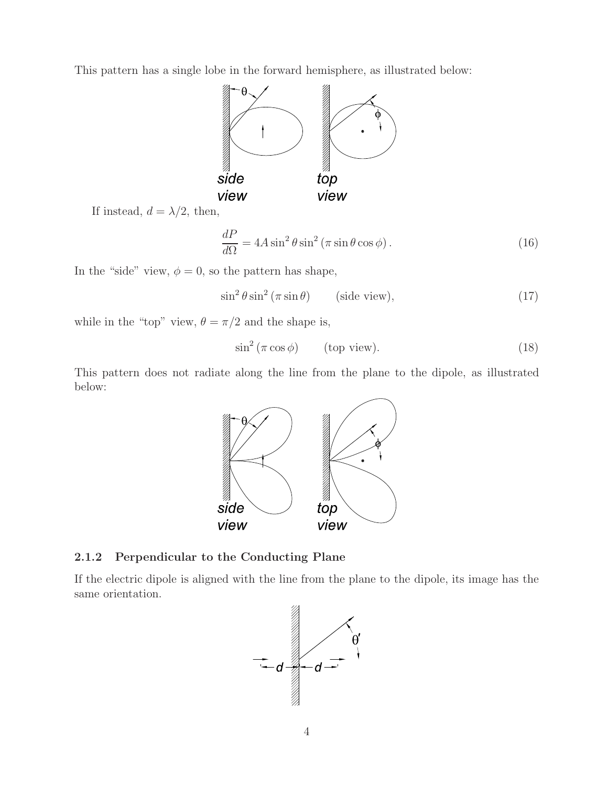This pattern has a single lobe in the forward hemisphere, as illustrated below:



If instead,  $d = \lambda/2$ , then,

$$
\frac{dP}{d\Omega} = 4A\sin^2\theta\sin^2\left(\pi\sin\theta\cos\phi\right). \tag{16}
$$

In the "side" view,  $\phi = 0$ , so the pattern has shape,

$$
\sin^2 \theta \sin^2 \left(\pi \sin \theta\right) \qquad \text{(side view)},\tag{17}
$$

while in the "top" view,  $\theta = \pi/2$  and the shape is,

$$
\sin^2\left(\pi\cos\phi\right) \qquad \text{(top view)}.\tag{18}
$$

This pattern does not radiate along the line from the plane to the dipole, as illustrated below:



### **2.1.2 Perpendicular to the Conducting Plane**

If the electric dipole is aligned with the line from the plane to the dipole, its image has the same orientation.

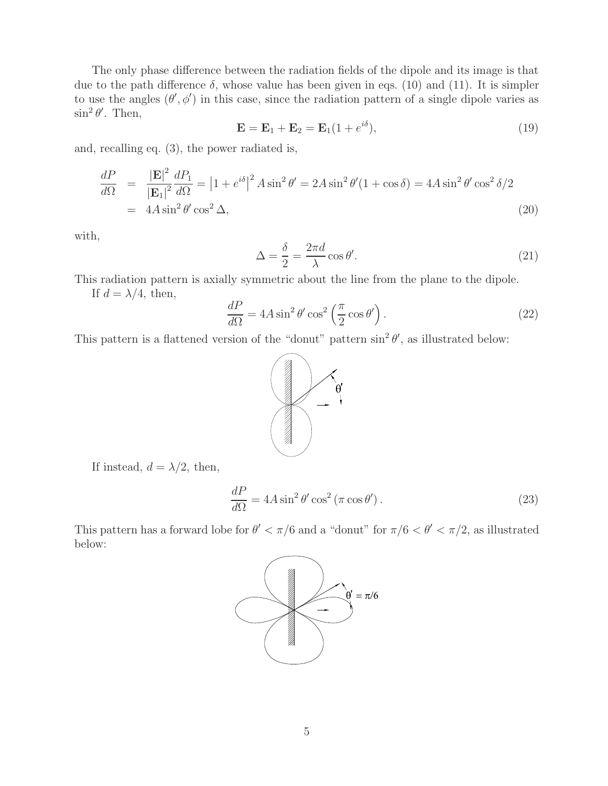The only phase difference between the radiation fields of the dipole and its image is that due to the path difference  $\delta$ , whose value has been given in eqs. (10) and (11). It is simpler to use the angles  $(\theta', \phi')$  in this case, since the radiation pattern of a single dipole varies as  $\sin^2 \theta'$ . Then,

$$
\mathbf{E} = \mathbf{E}_1 + \mathbf{E}_2 = \mathbf{E}_1(1 + e^{i\delta}),\tag{19}
$$

and, recalling eq. (3), the power radiated is,

$$
\frac{dP}{d\Omega} = \frac{|\mathbf{E}|^2}{|\mathbf{E}_1|^2} \frac{dP_1}{d\Omega} = |1 + e^{i\delta}|^2 A \sin^2 \theta' = 2A \sin^2 \theta' (1 + \cos \delta) = 4A \sin^2 \theta' \cos^2 \delta / 2
$$
  
= 4A sin<sup>2</sup> θ' cos<sup>2</sup> Δ, (20)

with,

$$
\Delta = \frac{\delta}{2} = \frac{2\pi d}{\lambda} \cos \theta'.\tag{21}
$$

This radiation pattern is axially symmetric about the line from the plane to the dipole.

If  $d = \lambda/4$ , then,

$$
\frac{dP}{d\Omega} = 4A\sin^2\theta'\cos^2\left(\frac{\pi}{2}\cos\theta'\right). \tag{22}
$$

This pattern is a flattened version of the "donut" pattern  $\sin^2 \theta'$ , as illustrated below:



If instead,  $d = \lambda/2$ , then,

$$
\frac{dP}{d\Omega} = 4A\sin^2\theta'\cos^2\left(\pi\cos\theta'\right). \tag{23}
$$

This pattern has a forward lobe for  $\theta' < \pi/6$  and a "donut" for  $\pi/6 < \theta' < \pi/2$ , as illustrated below:

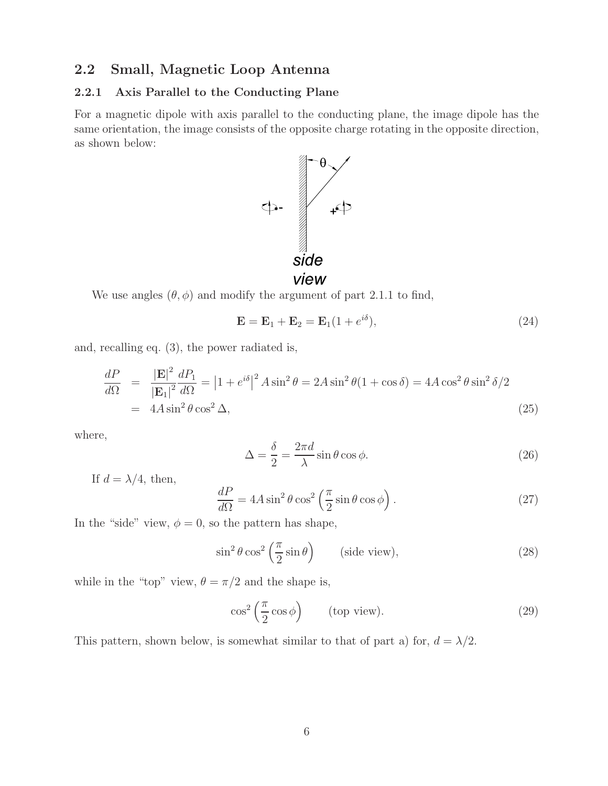## **2.2 Small, Magnetic Loop Antenna**

#### **2.2.1 Axis Parallel to the Conducting Plane**

For a magnetic dipole with axis parallel to the conducting plane, the image dipole has the same orientation, the image consists of the opposite charge rotating in the opposite direction, as shown below:



We use angles  $(\theta, \phi)$  and modify the argument of part 2.1.1 to find,

$$
\mathbf{E} = \mathbf{E}_1 + \mathbf{E}_2 = \mathbf{E}_1(1 + e^{i\delta}),\tag{24}
$$

and, recalling eq. (3), the power radiated is,

$$
\frac{dP}{d\Omega} = \frac{|\mathbf{E}|^2}{|\mathbf{E}_1|^2} \frac{dP_1}{d\Omega} = |1 + e^{i\delta}|^2 A \sin^2 \theta = 2A \sin^2 \theta (1 + \cos \delta) = 4A \cos^2 \theta \sin^2 \delta / 2
$$
  
= 4A \sin^2 \theta \cos^2 \Delta, (25)

where,

$$
\Delta = \frac{\delta}{2} = \frac{2\pi d}{\lambda} \sin \theta \cos \phi.
$$
 (26)

If  $d = \lambda/4$ , then,

$$
\frac{dP}{d\Omega} = 4A\sin^2\theta\cos^2\left(\frac{\pi}{2}\sin\theta\cos\phi\right). \tag{27}
$$

In the "side" view,  $\phi = 0$ , so the pattern has shape,

$$
\sin^2 \theta \cos^2 \left(\frac{\pi}{2} \sin \theta\right) \qquad \text{(side view)},\tag{28}
$$

while in the "top" view,  $\theta = \pi/2$  and the shape is,

$$
\cos^2\left(\frac{\pi}{2}\cos\phi\right) \qquad \text{(top view)}.\tag{29}
$$

This pattern, shown below, is somewhat similar to that of part a) for,  $d = \lambda/2$ .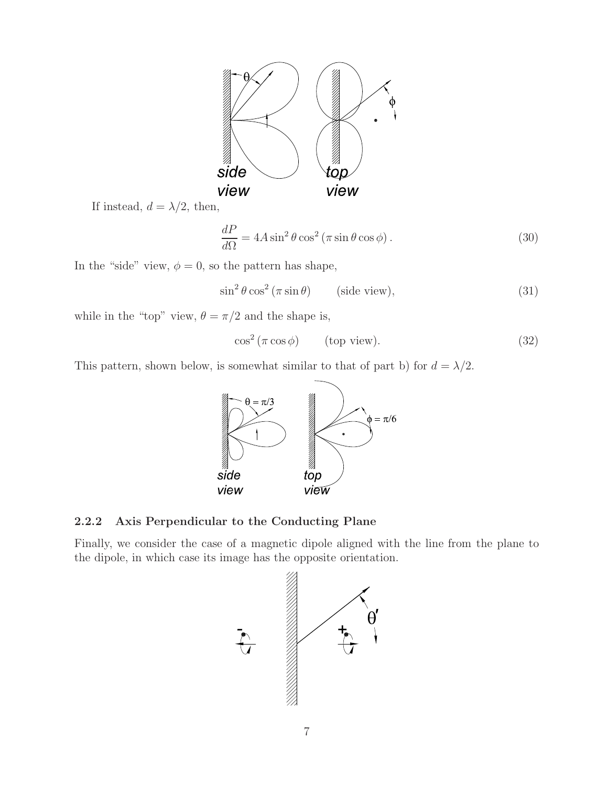

If instead,  $d = \lambda/2$ , then,

$$
\frac{dP}{d\Omega} = 4A\sin^2\theta\cos^2\left(\pi\sin\theta\cos\phi\right). \tag{30}
$$

In the "side" view,  $\phi = 0$ , so the pattern has shape,

 $\sin^2 \theta \cos^2 (\pi \sin \theta)$  (side view), (31)

while in the "top" view,  $\theta=\pi/2$  and the shape is,

$$
\cos^2\left(\pi\cos\phi\right) \qquad \text{(top view)}.\tag{32}
$$

This pattern, shown below, is somewhat similar to that of part b) for  $d = \lambda/2$ .



#### **2.2.2 Axis Perpendicular to the Conducting Plane**

Finally, we consider the case of a magnetic dipole aligned with the line from the plane to the dipole, in which case its image has the opposite orientation.